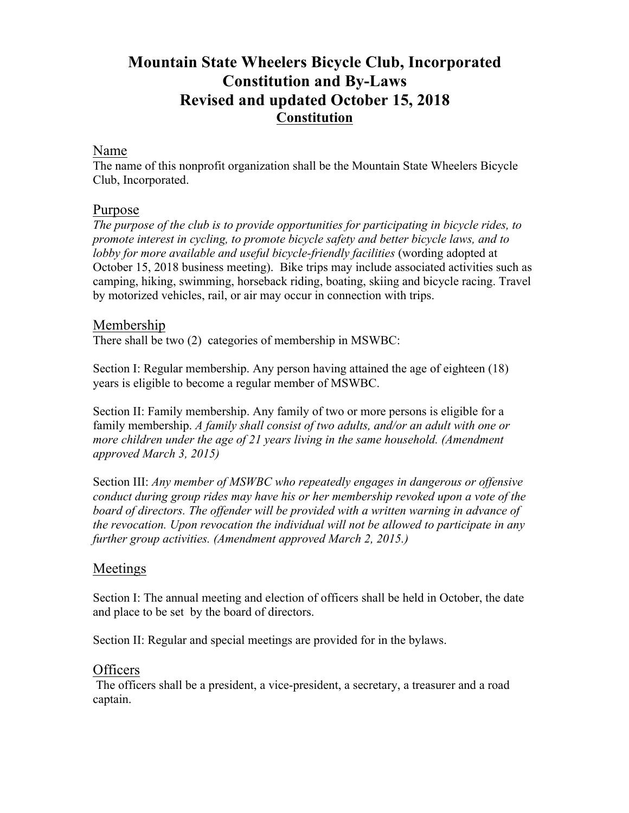# **Mountain State Wheelers Bicycle Club, Incorporated Constitution and By-Laws Revised and updated October 15, 2018 Constitution**

## Name

The name of this nonprofit organization shall be the Mountain State Wheelers Bicycle Club, Incorporated.

## Purpose

*The purpose of the club is to provide opportunities for participating in bicycle rides, to promote interest in cycling, to promote bicycle safety and better bicycle laws, and to lobby for more available and useful bicycle-friendly facilities* (wording adopted at October 15, 2018 business meeting). Bike trips may include associated activities such as camping, hiking, swimming, horseback riding, boating, skiing and bicycle racing. Travel by motorized vehicles, rail, or air may occur in connection with trips.

## Membership

There shall be two (2) categories of membership in MSWBC:

Section I: Regular membership. Any person having attained the age of eighteen (18) years is eligible to become a regular member of MSWBC.

Section II: Family membership. Any family of two or more persons is eligible for a family membership. *A family shall consist of two adults, and/or an adult with one or more children under the age of 21 years living in the same household. (Amendment approved March 3, 2015)*

Section III: *Any member of MSWBC who repeatedly engages in dangerous or offensive conduct during group rides may have his or her membership revoked upon a vote of the board of directors. The offender will be provided with a written warning in advance of the revocation. Upon revocation the individual will not be allowed to participate in any further group activities. (Amendment approved March 2, 2015.)*

## Meetings

Section I: The annual meeting and election of officers shall be held in October, the date and place to be set by the board of directors.

Section II: Regular and special meetings are provided for in the bylaws.

## Officers

The officers shall be a president, a vice-president, a secretary, a treasurer and a road captain.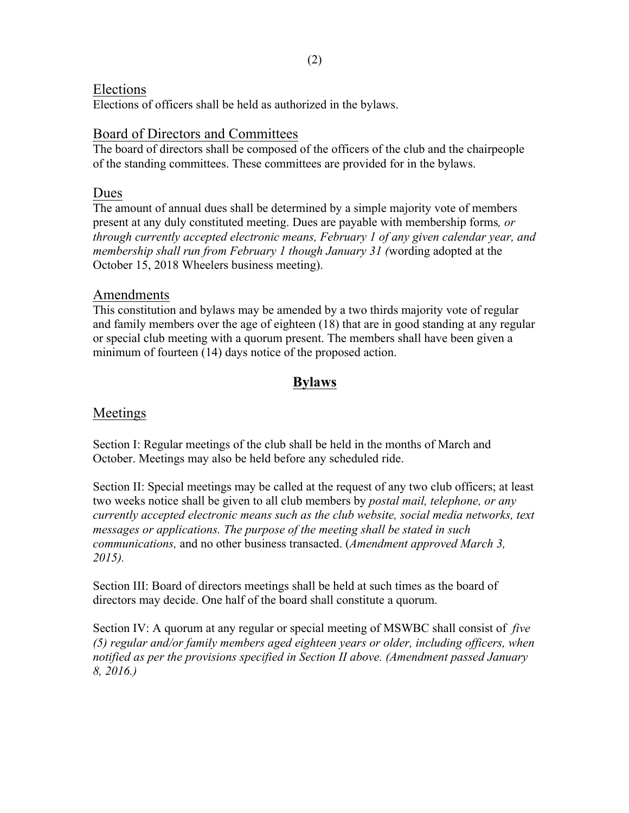#### Elections

Elections of officers shall be held as authorized in the bylaws.

## Board of Directors and Committees

The board of directors shall be composed of the officers of the club and the chairpeople of the standing committees. These committees are provided for in the bylaws.

## Dues

The amount of annual dues shall be determined by a simple majority vote of members present at any duly constituted meeting. Dues are payable with membership forms*, or through currently accepted electronic means, February 1 of any given calendar year, and membership shall run from February 1 though January 31 (*wording adopted at the October 15, 2018 Wheelers business meeting).

#### Amendments

This constitution and bylaws may be amended by a two thirds majority vote of regular and family members over the age of eighteen (18) that are in good standing at any regular or special club meeting with a quorum present. The members shall have been given a minimum of fourteen (14) days notice of the proposed action.

## **Bylaws**

## Meetings

Section I: Regular meetings of the club shall be held in the months of March and October. Meetings may also be held before any scheduled ride.

Section II: Special meetings may be called at the request of any two club officers; at least two weeks notice shall be given to all club members by *postal mail, telephone, or any currently accepted electronic means such as the club website, social media networks, text messages or applications. The purpose of the meeting shall be stated in such communications,* and no other business transacted. (*Amendment approved March 3, 2015).* 

Section III: Board of directors meetings shall be held at such times as the board of directors may decide. One half of the board shall constitute a quorum.

Section IV: A quorum at any regular or special meeting of MSWBC shall consist of *five (5) regular and/or family members aged eighteen years or older, including officers, when notified as per the provisions specified in Section II above. (Amendment passed January 8, 2016.)*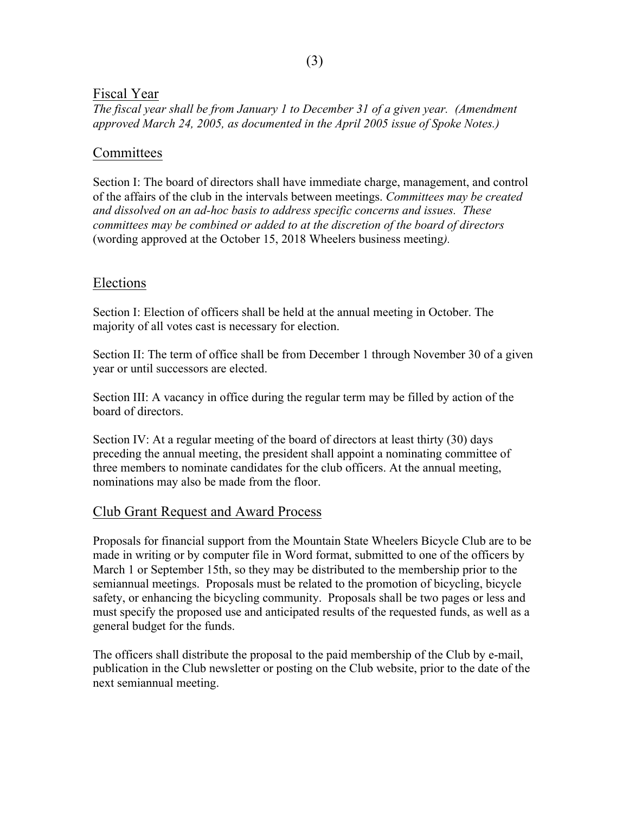#### Fiscal Year

*The fiscal year shall be from January 1 to December 31 of a given year. (Amendment approved March 24, 2005, as documented in the April 2005 issue of Spoke Notes.)*

#### **Committees**

Section I: The board of directors shall have immediate charge, management, and control of the affairs of the club in the intervals between meetings. *Committees may be created and dissolved on an ad-hoc basis to address specific concerns and issues. These committees may be combined or added to at the discretion of the board of directors* (wording approved at the October 15, 2018 Wheelers business meeting*).*

#### Elections

Section I: Election of officers shall be held at the annual meeting in October. The majority of all votes cast is necessary for election.

Section II: The term of office shall be from December 1 through November 30 of a given year or until successors are elected.

Section III: A vacancy in office during the regular term may be filled by action of the board of directors.

Section IV: At a regular meeting of the board of directors at least thirty (30) days preceding the annual meeting, the president shall appoint a nominating committee of three members to nominate candidates for the club officers. At the annual meeting, nominations may also be made from the floor.

## Club Grant Request and Award Process

Proposals for financial support from the Mountain State Wheelers Bicycle Club are to be made in writing or by computer file in Word format, submitted to one of the officers by March 1 or September 15th, so they may be distributed to the membership prior to the semiannual meetings. Proposals must be related to the promotion of bicycling, bicycle safety, or enhancing the bicycling community. Proposals shall be two pages or less and must specify the proposed use and anticipated results of the requested funds, as well as a general budget for the funds.

The officers shall distribute the proposal to the paid membership of the Club by e-mail, publication in the Club newsletter or posting on the Club website, prior to the date of the next semiannual meeting.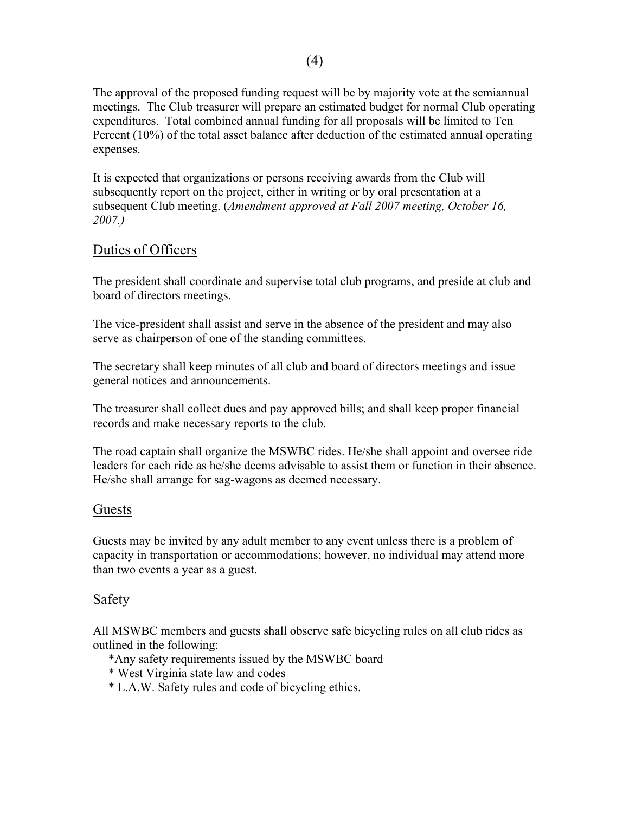The approval of the proposed funding request will be by majority vote at the semiannual meetings. The Club treasurer will prepare an estimated budget for normal Club operating expenditures. Total combined annual funding for all proposals will be limited to Ten Percent (10%) of the total asset balance after deduction of the estimated annual operating expenses.

It is expected that organizations or persons receiving awards from the Club will subsequently report on the project, either in writing or by oral presentation at a subsequent Club meeting. (*Amendment approved at Fall 2007 meeting, October 16, 2007.)*

## Duties of Officers

The president shall coordinate and supervise total club programs, and preside at club and board of directors meetings.

The vice-president shall assist and serve in the absence of the president and may also serve as chairperson of one of the standing committees.

The secretary shall keep minutes of all club and board of directors meetings and issue general notices and announcements.

The treasurer shall collect dues and pay approved bills; and shall keep proper financial records and make necessary reports to the club.

The road captain shall organize the MSWBC rides. He/she shall appoint and oversee ride leaders for each ride as he/she deems advisable to assist them or function in their absence. He/she shall arrange for sag-wagons as deemed necessary.

#### Guests

Guests may be invited by any adult member to any event unless there is a problem of capacity in transportation or accommodations; however, no individual may attend more than two events a year as a guest.

## Safety

All MSWBC members and guests shall observe safe bicycling rules on all club rides as outlined in the following:

- \*Any safety requirements issued by the MSWBC board
- \* West Virginia state law and codes
- \* L.A.W. Safety rules and code of bicycling ethics.